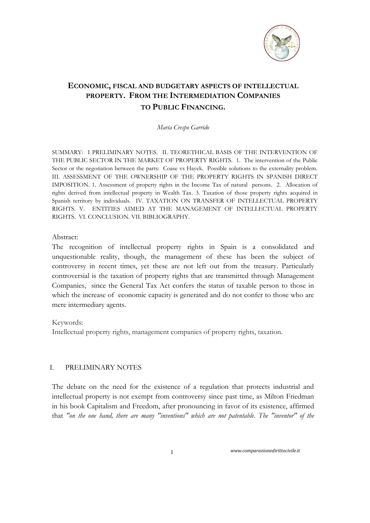

# **ECONOMIC, FISCAL AND BUDGETARY ASPECTS OF INTELLECTUAL PROPERTY. FROM THE INTERMEDIATION COMPANIES TO PUBLIC FINANCING.**

*María Crespo Garrido* 

SUMMARY: I PRELIMINARY NOTES. II. TEORETHICAL BASIS OF THE INTERVENTION OF THE PUBLIC SECTOR IN THE MARKET OF PROPERTY RIGHTS. 1. The intervention of the Public Sector or the negotiation between the parts: Coase vs Hayek. Possible solutions to the externality problem. III. ASSESSMENT OF THE OWNERSHIP OF THE PROPERTY RIGHTS IN SPANISH DIRECT IMPOSITION. 1. Assessment of property rights in the Income Tax of natural persons. 2. Allocation of rights derived from intellectual property in Wealth Tax. 3. Taxation of those property rights acquired in Spanish territory by individuals. IV. TAXATION ON TRANSFER OF INTELLECTUAL PROPERTY RIGHTS. V. ENTITIES AIMED AT THE MANAGEMENT OF INTELLECTUAL PROPERTY RIGHTS. VI. CONCLUSION. VII. BIBLIOGRAPHY.

#### Abstract:

The recognition of intellectual property rights in Spain is a consolidated and unquestionable reality, though, the management of these has been the subject of controversy in recent times, yet these are not left out from the treasury. Particularly controversial is the taxation of property rights that are transmitted through Management Companies, since the General Tax Act confers the status of taxable person to those in which the increase of economic capacity is generated and do not confer to those who are mere intermediary agents.

#### Keywords:

Intellectual property rights, management companies of property rights, taxation.

#### I. PRELIMINARY NOTES

The debate on the need for the existence of a regulation that protects industrial and intellectual property is not exempt from controversy since past time, as Milton Friedman in his book Capitalism and Freedom, after pronouncing in favor of its existence, affirmed that *"on the one hand, there are many "inventions" which are not patentable. The "inventor" of the*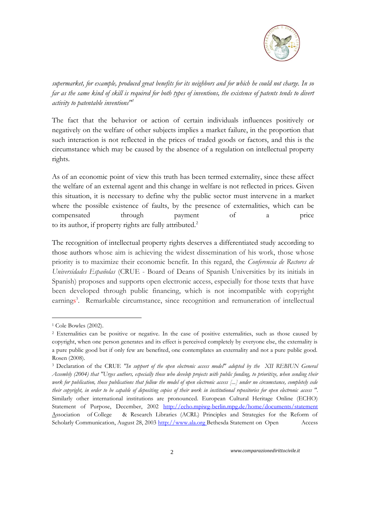

*supermarket, for example, produced great benefits for its neighbors and for which he could not charge. In so far as the same kind of skill is required for both types of inventions, the existence of patents tends to divert activity to patentable inventions"<sup>1</sup>*

The fact that the behavior or action of certain individuals influences positively or negatively on the welfare of other subjects implies a market failure, in the proportion that such interaction is not reflected in the prices of traded goods or factors, and this is the circumstance which may be caused by the absence of a regulation on intellectual property rights.

As of an economic point of view this truth has been termed externality, since these affect the welfare of an external agent and this change in welfare is not reflected in prices. Given this situation, it is necessary to define why the public sector must intervene in a market where the possible existence of faults, by the presence of externalities, which can be compensated through payment of a price to its author, if property rights are fully attributed.<sup>2</sup>

The recognition of intellectual property rights deserves a differentiated study according to those authors whose aim is achieving the widest dissemination of his work, those whose priority is to maximize their economic benefit. In this regard, the *Conferencia de Rectores de Universidades Españolas* (CRUE - Board of Deans of Spanish Universities by its initials in Spanish) proposes and supports open electronic access, especially for those texts that have been developed through public financing, which is not incompatible with copyright earnings<sup>3</sup>. Remarkable circumstance, since recognition and remuneration of intellectual

<u>.</u>

<sup>1</sup> Cole Bowles (2002).

<sup>2</sup> Externalities can be positive or negative. In the case of positive externalities, such as those caused by copyright, when one person generates and its effect is perceived completely by everyone else, the externality is a pure public good but if only few are benefited, one contemplates an externality and not a pure public good. Rosen (2008).

<sup>3</sup> Declaration of the CRUE *"In support of the open electronic access model" adopted by the XII REBIUN General Assembly (2004) that "Urges authors, especially those who develop projects with public funding, to prioritize, when sending their work for publication, those publications that follow the model of open electronic access [...] under no circumstance, completely cede their copyright, in order to be capable of depositing copies of their work in institutional repositories for open electronic access "*. Similarly other international institutions are pronounced. European Cultural Heritage Online (ECHO) Statement of Purpose, December, 2002 <http://echo.mpiwg-berlin.mpg.de/home/documents/statement> Association of College & Research Libraries (ACRL) Principles and Strategies for the Reform of Scholarly Communication, August 28, 2003 [http://www.ala.org](http://www.ala.org/) Bethesda Statement on Open Access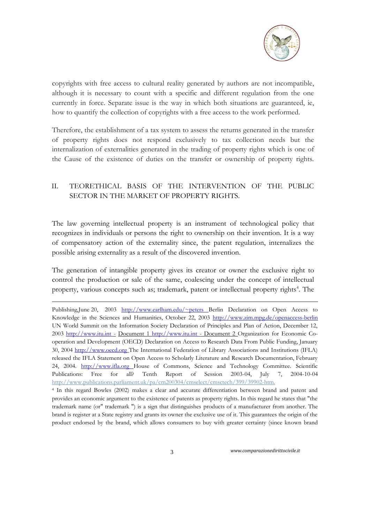

copyrights with free access to cultural reality generated by authors are not incompatible, although it is necessary to count with a specific and different regulation from the one currently in force. Separate issue is the way in which both situations are guaranteed, ie, how to quantify the collection of copyrights with a free access to the work performed.

Therefore, the establishment of a tax system to assess the returns generated in the transfer of property rights does not respond exclusively to tax collection needs but the internalization of externalities generated in the trading of property rights which is one of the Cause of the existence of duties on the transfer or ownership of property rights.

## II. TEORETHICAL BASIS OF THE INTERVENTION OF THE PUBLIC SECTOR IN THE MARKET OF PROPERTY RIGHTS.

The law governing intellectual property is an instrument of technological policy that recognizes in individuals or persons the right to ownership on their invention. It is a way of compensatory action of the externality since, the patent regulation, internalizes the possible arising externality as a result of the discovered invention.

The generation of intangible property gives its creator or owner the exclusive right to control the production or sale of the same, coalescing under the concept of intellectual property, various concepts such as; trademark, patent or intellectual property rights<sup>4</sup>. The

<u>.</u>

Publishing,June 20, 2003 [http://www.earlham.edu/~peters B](http://www.earlham.edu/~peters)erlin Declaration on Open Access to Knowledge in the Sciences and Humanities, October 22, 2003<http://www.zim.mpg.de/openaccess-berlin> UN World Summit on the Information Society Declaration of Principles and Plan of Action, December 12, 2003 [http://www.itu.int -](http://www.itu.int/) Document 1 [http://www.itu.int -](http://www.itu.int/) Document 2 Organization for Economic Cooperation and Development (OECD) Declaration on Access to Research Data From Public Funding, January 30, 2004 http://www.oecd.org The International Federation of Library Associations and Institutions (IFLA) released the IFLA Statement on Open Access to Scholarly Literature and Research Documentation, February 24, 2004. [http://www.ifla.org H](http://www.ifla.org/)ouse of Commons, Science and Technology Committee. Scientific Publications: Free for all? Tenth Report of Session 2003-04, July 7, 2004-10-04 [http://www.publications.parliament.uk/pa/cm200304/cmselect/cmsctech/399/3](http://www.publications.parliament.uk/pa/cm200304/cmselect/cmsctech/399/)9902-htm.

<sup>4</sup> In this regard Bowles (2002) makes a clear and accurate differentiation between brand and patent and provides an economic argument to the existence of patents as property rights. In this regard he states that "the trademark name (or" trademark ") is a sign that distinguishes products of a manufacturer from another. The brand is register at a State registry and grants its owner the exclusive use of it. This guarantees the origin of the product endorsed by the brand, which allows consumers to buy with greater certainty (since known brand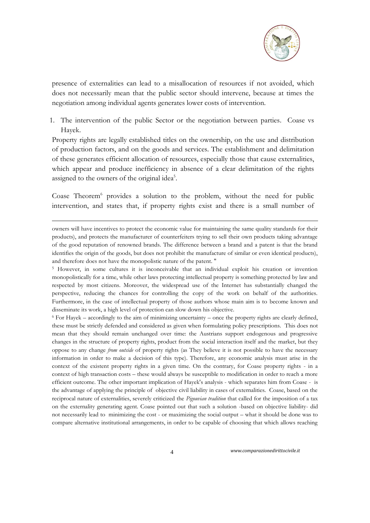

presence of externalities can lead to a misallocation of resources if not avoided, which does not necessarily mean that the public sector should intervene, because at times the negotiation among individual agents generates lower costs of intervention.

1. The intervention of the public Sector or the negotiation between parties. Coase vs Hayek.

Property rights are legally established titles on the ownership, on the use and distribution of production factors, and on the goods and services. The establishment and delimitation of these generates efficient allocation of resources, especially those that cause externalities, which appear and produce inefficiency in absence of a clear delimitation of the rights assigned to the owners of the original idea<sup>5</sup>.

Coase Theorem<sup>6</sup> provides a solution to the problem, without the need for public intervention, and states that, if property rights exist and there is a small number of

-

<sup>6</sup> For Hayek – accordingly to the aim of minimizing uncertainty – once the property rights are clearly defined, these must be strictly defended and considered as given when formulating policy prescriptions. This does not mean that they should remain unchanged over time: the Austrians support endogenous and progressive changes in the structure of property rights, product from the social interaction itself and the market, but they oppose to any change *from outside* of property rights (as They believe it is not possible to have the necessary information in order to make a decision of this type). Therefore, any economic analysis must arise in the context of the existent property rights in a given time. On the contrary, for Coase property rights - in a context of high transaction costs – these would always be susceptible to modification in order to reach a more efficient outcome. The other important implication of Hayek's analysis - which separates him from Coase - is the advantage of applying the principle of objective civil liability in cases of externalities. Coase, based on the reciprocal nature of externalities, severely criticized the *Pigouvian tradition* that called for the imposition of a tax on the externality generating agent. Coase pointed out that such a solution -based on objective liability- did not necessarily lead to minimizing the cost - or maximizing the social output – what it should be done was to compare alternative institutional arrangements, in order to be capable of choosing that which allows reaching

owners will have incentives to protect the economic value for maintaining the same quality standards for their products), and protects the manufacturer of counterfeiters trying to sell their own products taking advantage of the good reputation of renowned brands. The difference between a brand and a patent is that the brand identifies the origin of the goods, but does not prohibit the manufacture of similar or even identical products), and therefore does not have the monopolistic nature of the patent. "

<sup>5</sup> However, in some cultures it is inconceivable that an individual exploit his creation or invention monopolistically for a time, while other laws protecting intellectual property is something protected by law and respected by most citizens. Moreover, the widespread use of the Internet has substantially changed the perspective, reducing the chances for controlling the copy of the work on behalf of the authorities. Furthermore, in the case of intellectual property of those authors whose main aim is to become known and disseminate its work, a high level of protection can slow down his objective.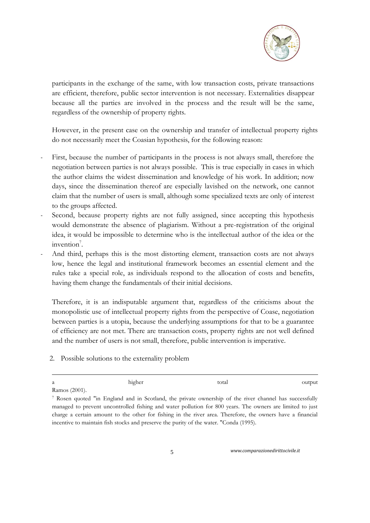

participants in the exchange of the same, with low transaction costs, private transactions are efficient, therefore, public sector intervention is not necessary. Externalities disappear because all the parties are involved in the process and the result will be the same, regardless of the ownership of property rights.

However, in the present case on the ownership and transfer of intellectual property rights do not necessarily meet the Coasian hypothesis, for the following reason:

- First, because the number of participants in the process is not always small, therefore the negotiation between parties is not always possible. This is true especially in cases in which the author claims the widest dissemination and knowledge of his work. In addition; now days, since the dissemination thereof are especially lavished on the network, one cannot claim that the number of users is small, although some specialized texts are only of interest to the groups affected.
- Second, because property rights are not fully assigned, since accepting this hypothesis would demonstrate the absence of plagiarism. Without a pre-registration of the original idea, it would be impossible to determine who is the intellectual author of the idea or the  $invention<sup>7</sup>$ .
- And third, perhaps this is the most distorting element, transaction costs are not always low, hence the legal and institutional framework becomes an essential element and the rules take a special role, as individuals respond to the allocation of costs and benefits, having them change the fundamentals of their initial decisions.

Therefore, it is an indisputable argument that, regardless of the criticisms about the monopolistic use of intellectual property rights from the perspective of Coase, negotiation between parties is a utopia, because the underlying assumptions for that to be a guarantee of efficiency are not met. There are transaction costs, property rights are not well defined and the number of users is not small, therefore, public intervention is imperative.

2. Possible solutions to the externality problem

| a      |                                           | higher | total | output |
|--------|-------------------------------------------|--------|-------|--------|
| $\sim$ | $\sim$ $\sim$ $\sim$ $\sim$ $\sim$ $\sim$ |        |       |        |

Ramos (2001).

<u>.</u>

<sup>7</sup> Rosen quoted "in England and in Scotland, the private ownership of the river channel has successfully managed to prevent uncontrolled fishing and water pollution for 800 years. The owners are limited to just charge a certain amount to the other for fishing in the river area. Therefore, the owners have a financial incentive to maintain fish stocks and preserve the purity of the water. "Conda (1995).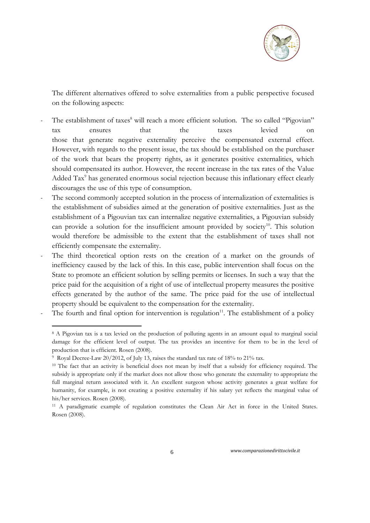

The different alternatives offered to solve externalities from a public perspective focused on the following aspects:

- The establishment of taxes<sup>8</sup> will reach a more efficient solution. The so called "Pigovian" tax ensures that the taxes levied on those that generate negative externality perceive the compensated external effect. However, with regards to the present issue, the tax should be established on the purchaser of the work that bears the property rights, as it generates positive externalities, which should compensated its author. However, the recent increase in the tax rates of the Value Added Tax<sup>9</sup> has generated enormous social rejection because this inflationary effect clearly discourages the use of this type of consumption.
- The second commonly accepted solution in the process of internalization of externalities is the establishment of subsidies aimed at the generation of positive externalities. Just as the establishment of a Pigouvian tax can internalize negative externalities, a Pigouvian subsidy can provide a solution for the insufficient amount provided by society<sup>10</sup>. This solution would therefore be admissible to the extent that the establishment of taxes shall not efficiently compensate the externality.
- The third theoretical option rests on the creation of a market on the grounds of inefficiency caused by the lack of this. In this case, public intervention shall focus on the State to promote an efficient solution by selling permits or licenses. In such a way that the price paid for the acquisition of a right of use of intellectual property measures the positive effects generated by the author of the same. The price paid for the use of intellectual property should be equivalent to the compensation for the externality.
- The fourth and final option for intervention is regulation<sup>11</sup>. The establishment of a policy

<u>.</u>

<sup>8</sup> A Pigovian tax is a tax levied on the production of polluting agents in an amount equal to marginal social damage for the efficient level of output. The tax provides an incentive for them to be in the level of production that is efficient. Rosen (2008).

<sup>9</sup> Royal Decree-Law 20/2012, of July 13, raises the standard tax rate of 18% to 21% tax.

<sup>&</sup>lt;sup>10</sup> The fact that an activity is beneficial does not mean by itself that a subsidy for efficiency required. The subsidy is appropriate only if the market does not allow those who generate the externality to appropriate the full marginal return associated with it. An excellent surgeon whose activity generates a great welfare for humanity, for example, is not creating a positive externality if his salary yet reflects the marginal value of his/her services. Rosen (2008).

<sup>&</sup>lt;sup>11</sup> A paradigmatic example of regulation constitutes the Clean Air Act in force in the United States. Rosen (2008).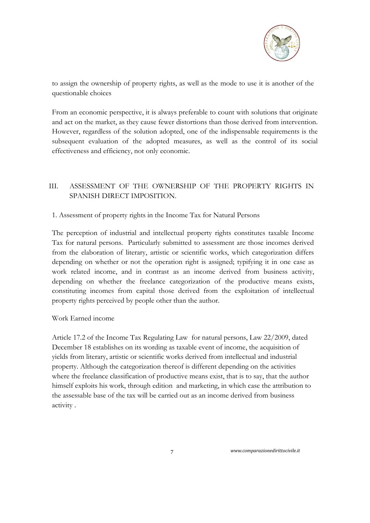

to assign the ownership of property rights, as well as the mode to use it is another of the questionable choices

From an economic perspective, it is always preferable to count with solutions that originate and act on the market, as they cause fewer distortions than those derived from intervention. However, regardless of the solution adopted, one of the indispensable requirements is the subsequent evaluation of the adopted measures, as well as the control of its social effectiveness and efficiency, not only economic.

## III. ASSESSMENT OF THE OWNERSHIP OF THE PROPERTY RIGHTS IN SPANISH DIRECT IMPOSITION.

## 1. Assessment of property rights in the Income Tax for Natural Persons

The perception of industrial and intellectual property rights constitutes taxable Income Tax for natural persons. Particularly submitted to assessment are those incomes derived from the elaboration of literary, artistic or scientific works, which categorization differs depending on whether or not the operation right is assigned; typifying it in one case as work related income, and in contrast as an income derived from business activity, depending on whether the freelance categorization of the productive means exists, constituting incomes from capital those derived from the exploitation of intellectual property rights perceived by people other than the author.

### Work Earned income

Article 17.2 of the Income Tax Regulating Law for natural persons, Law 22/2009, dated December 18 establishes on its wording as taxable event of income, the acquisition of yields from literary, artistic or scientific works derived from intellectual and industrial property. Although the categorization thereof is different depending on the activities where the freelance classification of productive means exist, that is to say, that the author himself exploits his work, through edition and marketing, in which case the attribution to the assessable base of the tax will be carried out as an income derived from business activity .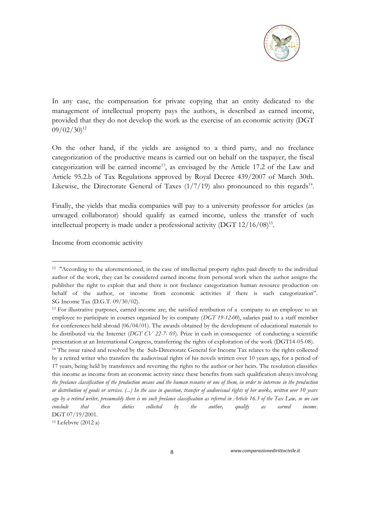

In any case, the compensation for private copying that an entity dedicated to the management of intellectual property pays the authors, is described as earned income, provided that they do not develop the work as the exercise of an economic activity (DGT  $09/02/30$ <sup>12</sup>

On the other hand, if the yields are assigned to a third party, and no freelance categorization of the productive means is carried out on behalf on the taxpayer, the fiscal categorization will be earned income<sup>13</sup>, as envisaged by the Article 17.2 of the Law and Article 95.2.b of Tax Regulations approved by Royal Decree 439/2007 of March 30th. Likewise, the Directorate General of Taxes  $(1/7/19)$  also pronounced to this regards<sup>14</sup>.

Finally, the yields that media companies will pay to a university professor for articles (as unwaged collaborator) should qualify as earned income, unless the transfer of such intellectual property is made under a professional activity (DGT 12/16/08)<sup>15</sup>.

Income from economic activity

<u>.</u>

<sup>15</sup> Lefebvre (2012 a)

<sup>&</sup>lt;sup>12</sup> "According to the aforementioned, in the case of intellectual property rights paid directly to the individual author of the work, they can be considered earned income from personal work when the author assigns the publisher the right to exploit that and there is not freelance categorization human resource production on behalf of the author, or income from economic activities if there is such categorization". SG Income Tax (D.G.T. 09/30/02).

<sup>13</sup> For illustrative purposes, earned income are; the satisfied retribution of a company to an employee to an employee to participate in courses organized by its company (*DGT 19-12-00*), salaries paid to a staff member for conferences held abroad (06/04/01). The awards obtained by the development of educational materials to be distributed via the Internet (*DGT CV 22-7- 05*). Prize in cash in consequence of conducting a scientific presentation at an International Congress, transferring the rights of exploitation of the work (DGT14-05-08).

<sup>14</sup> The issue raised and resolved by the Sub-Directorate General for Income Tax relates to the rights collected by a retired writer who transfers the audiovisual rights of his novels written over 10 years ago, for a period of 17 years, being held by transferees and reverting the rights to the author or her heirs. The resolution classifies this income as income from an economic activity since these benefits from such qualification always involving *the freelance classification of the production means and the human resource or one of them, in order to intervene in the production or distribution of goods or services. (...) In the case in question, transfer of audiovisual rights of her works, written over 10 years ago by a retired writer, presumably there is no such freelance classification as referred in Article 16.3 of the Tax Law, so we can conclude that these duties collected by the author, qualify as earned income*. DGT 07/19/2001.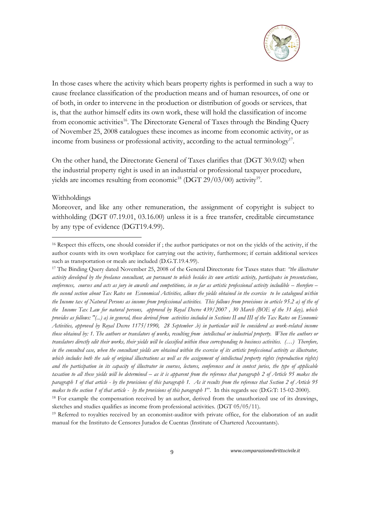

In those cases where the activity which bears property rights is performed in such a way to cause freelance classification of the production means and of human resources, of one or of both, in order to intervene in the production or distribution of goods or services, that is, that the author himself edits its own work, these will hold the classification of income from economic activities<sup>16</sup>. The Directorate General of Taxes through the Binding Query of November 25, 2008 catalogues these incomes as income from economic activity, or as income from business or professional activity, according to the actual terminology<sup>17</sup>.

On the other hand, the Directorate General of Taxes clarifies that (DGT 30.9.02) when the industrial property right is used in an industrial or professional taxpayer procedure, yields are incomes resulting from economic<sup>18</sup> (DGT 29/03/00) activity<sup>19</sup>.

#### Withholdings

-

Moreover, and like any other remuneration, the assignment of copyright is subject to withholding (DGT 07.19.01, 03.16.00) unless it is a free transfer, creditable circumstance by any type of evidence (DGT19.4.99).

<sup>&</sup>lt;sup>16</sup> Respect this effects, one should consider if; the author participates or not on the yields of the activity, if the author counts with its own workplace for carrying out the activity, furthermore; if certain additional services such as transportation or meals are included (D.G.T.19.4.99).

<sup>17</sup> The Binding Query dated November 25, 2008 of the General Directorate for Taxes states that: *"the illustrator activity developed by the freelance consultant, an pursuant to which besides its own artistic activity, participates in presentations, conferences, courses and acts as jury in awards and competitions, in so far as artistic professional activity includible – therefore the second section about Tax Rates on Economical Activities, allows the yields obtained in the exercise to be catalogued within the Income tax of Natural Persons as income from professional activities. This follows from provisions in article 95.2 a) of the of the Income Tax Law for natural persons, approved by Royal Decree 439/2007 , 30 March (BOE of the 31 day), which provides as follows: "(...) a) in general, those derived from activities included in Sections II and III of the Tax Rates on Economic Activities, approved by Royal Decree 1175/1990, 28 September .b) in particular will be considered as work-related income those obtained by: 1. The authors or translators of works, resulting from intellectual or industrial property. When the authors or translators directly edit their works, their yields will be classified within those corresponding to business activities. (…) Therefore, in the consulted case, when the consultant yields are obtained within the exercise of its artistic professional activity as illustrator, which includes both the sale of original illustrations as well as the assignment of intellectual property rights (reproduction rights) and the participation in its capacity of illustrator in courses, lectures, conferences and in contest juries, the type of applicable*  taxation to all these yields will be determined – as it is apparent from the reference that paragraph 2 of Article 95 makes the *paragraph 1 of that article - by the provisions of this paragraph 1. As it results from the reference that Section 2 of Article 95 makes to the section 1 of that article - by the provisions of this paragraph 1*". In this regards see (D:G:T: 15-02-2000).

<sup>&</sup>lt;sup>18</sup> For example the compensation received by an author, derived from the unauthorized use of its drawings, sketches and studies qualifies as income from professional activities. (DGT 05/05/11).

<sup>19</sup> Referred to royalties received by an economist-auditor with private office, for the elaboration of an audit manual for the Instituto de Censores Jurados de Cuentas (Institute of Chartered Accountants).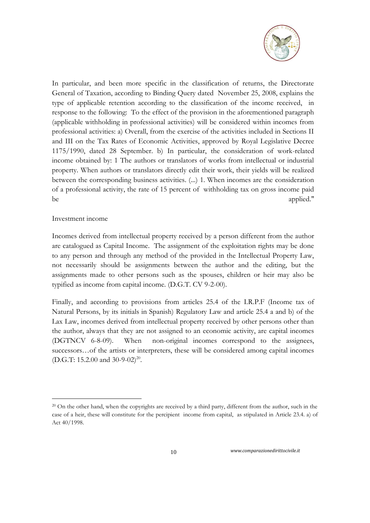

In particular, and been more specific in the classification of returns, the Directorate General of Taxation, according to Binding Query dated November 25, 2008, explains the type of applicable retention according to the classification of the income received, in response to the following: To the effect of the provision in the aforementioned paragraph (applicable withholding in professional activities) will be considered within incomes from professional activities: a) Overall, from the exercise of the activities included in Sections II and III on the Tax Rates of Economic Activities, approved by Royal Legislative Decree 1175/1990, dated 28 September. b) In particular, the consideration of work-related income obtained by: 1 The authors or translators of works from intellectual or industrial property. When authors or translators directly edit their work, their yields will be realized between the corresponding business activities. (...) 1. When incomes are the consideration of a professional activity, the rate of 15 percent of withholding tax on gross income paid be applied."

#### Investment income

<u>.</u>

Incomes derived from intellectual property received by a person different from the author are catalogued as Capital Income. The assignment of the exploitation rights may be done to any person and through any method of the provided in the Intellectual Property Law, not necessarily should be assignments between the author and the editing, but the assignments made to other persons such as the spouses, children or heir may also be typified as income from capital income. (D.G.T. CV 9-2-00).

Finally, and according to provisions from articles 25.4 of the I.R.P.F (Income tax of Natural Persons, by its initials in Spanish) Regulatory Law and article 25.4 a and b) of the Lax Law, incomes derived from intellectual property received by other persons other than the author, always that they are not assigned to an economic activity, are capital incomes (DGTNCV 6-8-09). When non-original incomes correspond to the assignees, successors…of the artists or interpreters, these will be considered among capital incomes (D.G.T: 15.2.00 and 30-9-02)<sup>20</sup>.

<sup>&</sup>lt;sup>20</sup> On the other hand, when the copyrights are received by a third party, different from the author, such in the case of a heir, these will constitute for the percipient income from capital, as stipulated in Article 23.4. a) of Act 40/1998.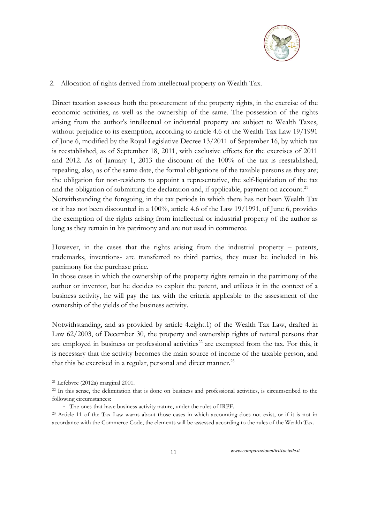

## 2. Allocation of rights derived from intellectual property on Wealth Tax.

Direct taxation assesses both the procurement of the property rights, in the exercise of the economic activities, as well as the ownership of the same. The possession of the rights arising from the author's intellectual or industrial property are subject to Wealth Taxes, without prejudice to its exemption, according to article 4.6 of the Wealth Tax Law 19/1991 of June 6, modified by the Royal Legislative Decree 13/2011 of September 16, by which tax is reestablished, as of September 18, 2011, with exclusive effects for the exercises of 2011 and 2012. As of January 1, 2013 the discount of the 100% of the tax is reestablished, repealing, also, as of the same date, the formal obligations of the taxable persons as they are; the obligation for non-residents to appoint a representative, the self-liquidation of the tax and the obligation of submitting the declaration and, if applicable, payment on account.<sup>21</sup> Notwithstanding the foregoing, in the tax periods in which there has not been Wealth Tax or it has not been discounted in a 100%, article 4.6 of the Law 19/1991, of June 6, provides the exemption of the rights arising from intellectual or industrial property of the author as long as they remain in his patrimony and are not used in commerce.

However, in the cases that the rights arising from the industrial property – patents, trademarks, inventions- are transferred to third parties, they must be included in his patrimony for the purchase price.

In those cases in which the ownership of the property rights remain in the patrimony of the author or inventor, but he decides to exploit the patent, and utilizes it in the context of a business activity, he will pay the tax with the criteria applicable to the assessment of the ownership of the yields of the business activity.

Notwithstanding, and as provided by article 4.eight.1) of the Wealth Tax Law, drafted in Law 62/2003, of December 30, the property and ownership rights of natural persons that are employed in business or professional activities<sup>22</sup> are exempted from the tax. For this, it is necessary that the activity becomes the main source of income of the taxable person, and that this be exercised in a regular, personal and direct manner.<sup>23</sup>

<u>.</u>

<sup>21</sup> Lefebvre (2012a) marginal 2001.

<sup>&</sup>lt;sup>22</sup> In this sense, the delimitation that is done on business and professional activities, is circumscribed to the following circumstances:

<sup>-</sup> The ones that have business activity nature, under the rules of IRPF.

<sup>23</sup> Article 11 of the Tax Law warns about those cases in which accounting does not exist, or if it is not in accordance with the Commerce Code, the elements will be assessed according to the rules of the Wealth Tax.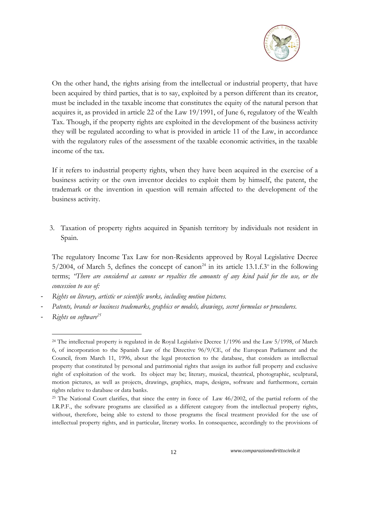

On the other hand, the rights arising from the intellectual or industrial property, that have been acquired by third parties, that is to say, exploited by a person different than its creator, must be included in the taxable income that constitutes the equity of the natural person that acquires it, as provided in article 22 of the Law 19/1991, of June 6, regulatory of the Wealth Tax. Though, if the property rights are exploited in the development of the business activity they will be regulated according to what is provided in article 11 of the Law, in accordance with the regulatory rules of the assessment of the taxable economic activities, in the taxable income of the tax.

If it refers to industrial property rights, when they have been acquired in the exercise of a business activity or the own inventor decides to exploit them by himself, the patent, the trademark or the invention in question will remain affected to the development of the business activity.

3. Taxation of property rights acquired in Spanish territory by individuals not resident in Spain.

The regulatory Income Tax Law for non-Residents approved by Royal Legislative Decree  $5/2004$ , of March 5, defines the concept of canon<sup>24</sup> in its article 13.1.f.3<sup>o</sup> in the following terms; *"There are considered as canons or royalties the amounts of any kind paid for the use, or the concession to use of:*

- *Rights on literary, artistic or scientific works, including motion pictures.*
- *Patents, brands or business trademarks, graphics or models, drawings, secret formulas or procedures.*
- *Rights on software<sup>25</sup>*

-

<sup>&</sup>lt;sup>24</sup> The intellectual property is regulated in de Royal Legislative Decree 1/1996 and the Law 5/1998, of March 6, of incorporation to the Spanish Law of the Directive 96/9/CE, of the European Parliament and the Council, from March 11, 1996, about the legal protection to the database, that considers as intellectual property that constituted by personal and patrimonial rights that assign its author full property and exclusive right of exploitation of the work. Its object may be; literary, musical, theatrical, photographic, sculptural, motion pictures, as well as projects, drawings, graphics, maps, designs, software and furthermore, certain rights relative to database or data banks.

<sup>&</sup>lt;sup>25</sup> The National Court clarifies, that since the entry in force of Law 46/2002, of the partial reform of the I.R.P.F., the software programs are classified as a different category from the intellectual property rights, without, therefore, being able to extend to those programs the fiscal treatment provided for the use of intellectual property rights, and in particular, literary works. In consequence, accordingly to the provisions of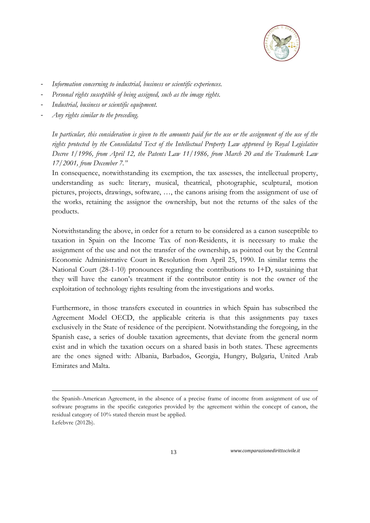

- *Information concerning to industrial, business or scientific experiences.*
- Personal rights susceptible of being assigned, such as the image rights.
- *Industrial, business or scientific equipment.*
- *Any rights similar to the preceding.*

<u>.</u>

*In particular, this consideration is given to the amounts paid for the use or the assignment of the use of the rights protected by the Consolidated Text of the Intellectual Property Law approved by Royal Legislative Decree 1/1996, from April 12, the Patents Law 11/1986, from March 20 and the Trademark Law 17/2001, from December 7."*

In consequence, notwithstanding its exemption, the tax assesses, the intellectual property, understanding as such: literary, musical, theatrical, photographic, sculptural, motion pictures, projects, drawings, software, …, the canons arising from the assignment of use of the works, retaining the assignor the ownership, but not the returns of the sales of the products.

Notwithstanding the above, in order for a return to be considered as a canon susceptible to taxation in Spain on the Income Tax of non-Residents, it is necessary to make the assignment of the use and not the transfer of the ownership, as pointed out by the Central Economic Administrative Court in Resolution from April 25, 1990. In similar terms the National Court (28-1-10) pronounces regarding the contributions to I+D, sustaining that they will have the canon's treatment if the contributor entity is not the owner of the exploitation of technology rights resulting from the investigations and works.

Furthermore, in those transfers executed in countries in which Spain has subscribed the Agreement Model OECD, the applicable criteria is that this assignments pay taxes exclusively in the State of residence of the percipient. Notwithstanding the foregoing, in the Spanish case, a series of double taxation agreements, that deviate from the general norm exist and in which the taxation occurs on a shared basis in both states. These agreements are the ones signed with: Albania, Barbados, Georgia, Hungry, Bulgaria, United Arab Emirates and Malta.

the Spanish-American Agreement, in the absence of a precise frame of income from assignment of use of software programs in the specific categories provided by the agreement within the concept of canon, the residual category of 10% stated therein must be applied. Lefebvre (2012b).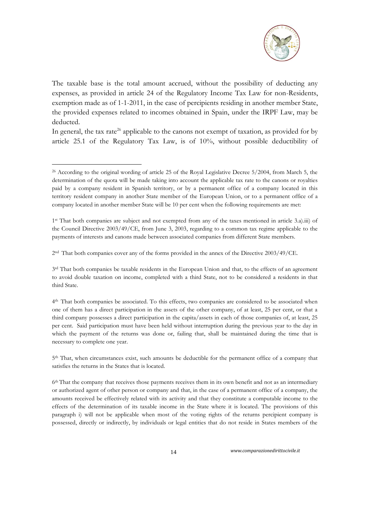

The taxable base is the total amount accrued, without the possibility of deducting any expenses, as provided in article 24 of the Regulatory Income Tax Law for non-Residents, exemption made as of 1-1-2011, in the case of percipients residing in another member State, the provided expenses related to incomes obtained in Spain, under the IRPF Law, may be deducted.

In general, the tax rate<sup>26</sup> applicable to the canons not exempt of taxation, as provided for by article 25.1 of the Regulatory Tax Law, is of 10%, without possible deductibility of

-

2 nd That both companies cover any of the forms provided in the annex of the Directive 2003/49/CE.

3<sup>rd</sup> That both companies be taxable residents in the European Union and that, to the effects of an agreement to avoid double taxation on income, completed with a third State, not to be considered a residents in that third State.

<sup>26</sup> According to the original wording of article 25 of the Royal Legislative Decree 5/2004, from March 5, the determination of the quota will be made taking into account the applicable tax rate to the canons or royalties paid by a company resident in Spanish territory, or by a permanent office of a company located in this territory resident company in another State member of the European Union, or to a permanent office of a company located in another member State will be 10 per cent when the following requirements are met:

<sup>1</sup> st That both companies are subject and not exempted from any of the taxes mentioned in article 3.a).iii) of the Council Directive 2003/49/CE, from June 3, 2003, regarding to a common tax regime applicable to the payments of interests and canons made between associated companies from different State members.

<sup>4</sup> th That both companies be associated. To this effects, two companies are considered to be associated when one of them has a direct participation in the assets of the other company, of at least, 25 per cent, or that a third company possesses a direct participation in the capita/assets in each of those companies of, at least, 25 per cent. Said participation must have been held without interruption during the previous year to the day in which the payment of the returns was done or, failing that, shall be maintained during the time that is necessary to complete one year.

<sup>5&</sup>lt;sup>th</sup> That, when circumstances exist, such amounts be deductible for the permanent office of a company that satisfies the returns in the States that is located.

<sup>6</sup> th That the company that receives those payments receives them in its own benefit and not as an intermediary or authorized agent of other person or company and that, in the case of a permanent office of a company, the amounts received be effectively related with its activity and that they constitute a computable income to the effects of the determination of its taxable income in the State where it is located. The provisions of this paragraph i) will not be applicable when most of the voting rights of the returns percipient company is possessed, directly or indirectly, by individuals or legal entities that do not reside in States members of the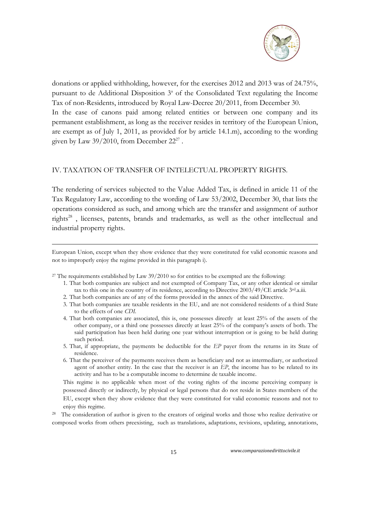

donations or applied withholding, however, for the exercises 2012 and 2013 was of 24.75%, pursuant to de Additional Disposition  $3<sup>a</sup>$  of the Consolidated Text regulating the Income Tax of non-Residents, introduced by Royal Law-Decree 20/2011, from December 30. In the case of canons paid among related entities or between one company and its permanent establishment, as long as the receiver resides in territory of the European Union, are exempt as of July 1, 2011, as provided for by article 14.1.m), according to the wording given by Law 39/2010, from December  $22^{27}$  .

#### IV. TAXATION OF TRANSFER OF INTELECTUAL PROPERTY RIGHTS.

The rendering of services subjected to the Value Added Tax, is defined in article 11 of the Tax Regulatory Law, according to the wording of Law 53/2002, December 30, that lists the operations considered as such, and among which are the transfer and assignment of author rights<sup>28</sup>, licenses, patents, brands and trademarks, as well as the other intellectual and industrial property rights.

European Union, except when they show evidence that they were constituted for valid economic reasons and not to improperly enjoy the regime provided in this paragraph i).

<sup>27</sup> The requirements established by Law  $39/2010$  so for entities to be exempted are the following:

-

- 1. That both companies are subject and not exempted of Company Tax, or any other identical or similar tax to this one in the country of its residence, according to Directive 2003/49/CE article 3<sup>rd</sup>.a.iii.
- 2. That both companies are of any of the forms provided in the annex of the said Directive.
- 3. That both companies are taxable residents in the EU, and are not considered residents of a third State to the effects of one *CDI.*
- 4. That both companies are associated, this is, one possesses directly at least 25% of the assets of the other company, or a third one possesses directly at least 25% of the company's assets of both. The said participation has been held during one year without interruption or is going to be held during such period.
- 5. That, if appropriate, the payments be deductible for the *EP* payer from the returns in its State of residence.
- 6. That the perceiver of the payments receives them as beneficiary and not as intermediary, or authorized agent of another entity. In the case that the receiver is an *EP*, the income has to be related to its activity and has to be a computable income to determine de taxable income.

This regime is no applicable when most of the voting rights of the income perceiving company is possessed directly or indirectly, by physical or legal persons that do not reside in States members of the EU, except when they show evidence that they were constituted for valid economic reasons and not to enjoy this regime.

<sup>28</sup> The consideration of author is given to the creators of original works and those who realize derivative or composed works from others preexisting, such as translations, adaptations, revisions, updating, annotations,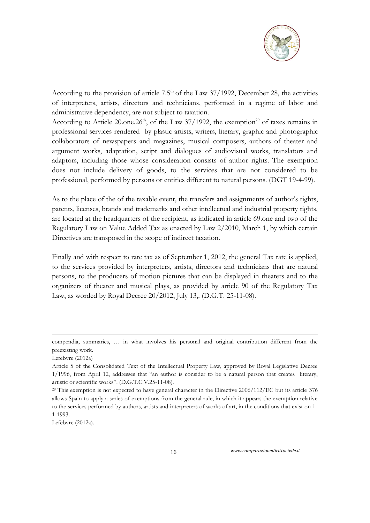

According to the provision of article  $7.5<sup>th</sup>$  of the Law 37/1992, December 28, the activities of interpreters, artists, directors and technicians, performed in a regime of labor and administrative dependency, are not subject to taxation.

According to Article 20.0ne.26<sup>th</sup>, of the Law 37/1992, the exemption<sup>29</sup> of taxes remains in professional services rendered by plastic artists, writers, literary, graphic and photographic collaborators of newspapers and magazines, musical composers, authors of theater and argument works, adaptation, script and dialogues of audiovisual works, translators and adaptors, including those whose consideration consists of author rights. The exemption does not include delivery of goods, to the services that are not considered to be professional, performed by persons or entities different to natural persons. (DGT 19-4-99).

As to the place of the of the taxable event, the transfers and assignments of author's rights, patents, licenses, brands and trademarks and other intellectual and industrial property rights, are located at the headquarters of the recipient, as indicated in article 69.one and two of the Regulatory Law on Value Added Tax as enacted by Law 2/2010, March 1, by which certain Directives are transposed in the scope of indirect taxation.

Finally and with respect to rate tax as of September 1, 2012, the general Tax rate is applied, to the services provided by interpreters, artists, directors and technicians that are natural persons, to the producers of motion pictures that can be displayed in theaters and to the organizers of theater and musical plays, as provided by article 90 of the Regulatory Tax Law, as worded by Royal Decree 20/2012, July 13,. (D.G.T. 25-11-08).

-

Lefebvre (2012a).

compendia, summaries, … in what involves his personal and original contribution different from the preexisting work.

Lefebvre (2012a)

Article 5 of the Consolidated Text of the Intellectual Property Law, approved by Royal Legislative Decree 1/1996, from April 12, addresses that "an author is consider to be a natural person that creates literary, artistic or scientific works". (D.G.T.C.V.25-11-08).

<sup>&</sup>lt;sup>29</sup> This exemption is not expected to have general character in the Directive 2006/112/EC but its article 376 allows Spain to apply a series of exemptions from the general rule, in which it appears the exemption relative to the services performed by authors, artists and interpreters of works of art, in the conditions that exist on 1- 1-1993.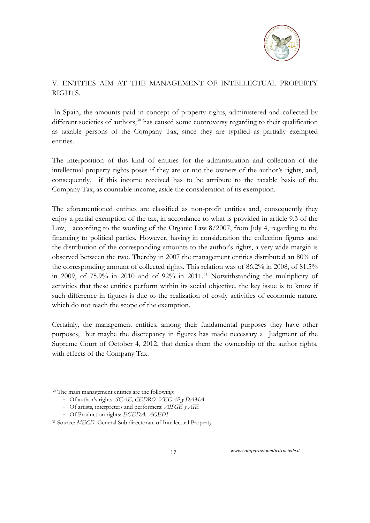

## V. ENTITIES AIM AT THE MANAGEMENT OF INTELLECTUAL PROPERTY RIGHTS.

In Spain, the amounts paid in concept of property rights, administered and collected by different societies of authors, $30$  has caused some controversy regarding to their qualification as taxable persons of the Company Tax, since they are typified as partially exempted entities.

The interposition of this kind of entities for the administration and collection of the intellectual property rights poses if they are or not the owners of the author's rights, and, consequently, if this income received has to be attribute to the taxable basis of the Company Tax, as countable income, aside the consideration of its exemption.

The aforementioned entities are classified as non-profit entities and, consequently they enjoy a partial exemption of the tax, in accordance to what is provided in article 9.3 of the Law, according to the wording of the Organic Law 8/2007, from July 4, regarding to the financing to political parties. However, having in consideration the collection figures and the distribution of the corresponding amounts to the author's rights, a very wide margin is observed between the two. Thereby in 2007 the management entities distributed an 80% of the corresponding amount of collected rights. This relation was of 86.2% in 2008, of 81.5% in 2009, of  $75.9\%$  in 2010 and of  $92\%$  in 2011.<sup>31</sup> Notwithstanding the multiplicity of activities that these entities perform within its social objective, the key issue is to know if such difference in figures is due to the realization of costly activities of economic nature, which do not reach the scope of the exemption.

Certainly, the management entities, among their fundamental purposes they have other purposes, but maybe the discrepancy in figures has made necessary a Judgment of the Supreme Court of October 4, 2012, that denies them the ownership of the author rights, with effects of the Company Tax.

<u>.</u>

<sup>30</sup> The main management entities are the following:

<sup>-</sup> Of author's rights: *SGAE, CEDRO, VEGAP y DAMA*

<sup>-</sup> Of artists, interpreters and performers: *AISGE y AIE*

<sup>-</sup> Of Production rights: *EGEDA, AGEDI*

<sup>31</sup> Source: *MECD.* General Sub directorate of Intellectual Property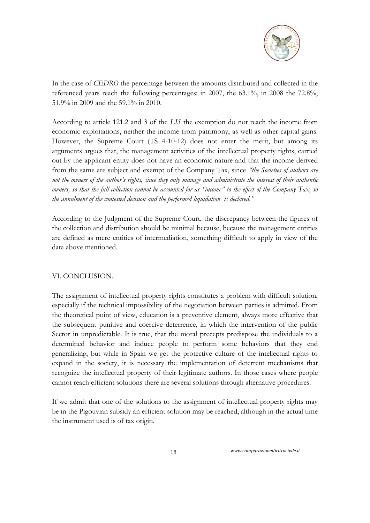

In the case of *CEDRO* the percentage between the amounts distributed and collected in the referenced years reach the following percentages: in 2007, the 63.1%, in 2008 the 72.8%, 51.9% in 2009 and the 59.1% in 2010.

According to article 121.2 and 3 of the *LIS* the exemption do not reach the income from economic exploitations, neither the income from patrimony, as well as other capital gains. However, the Supreme Court (TS 4-10-12) does not enter the merit, but among its arguments argues that, the management activities of the intellectual property rights, carried out by the applicant entity does not have an economic nature and that the income derived from the same are subject and exempt of the Company Tax, since *"the Societies of authors are not the owners of the author's rights, since they only manage and administrate the interest of their authentic owners, so that the full collection cannot be accounted for as "income" to the effect of the Company Tax, so the annulment of the contested decision and the performed liquidation is declared."*

According to the Judgment of the Supreme Court, the discrepancy between the figures of the collection and distribution should be minimal because, because the management entities are defined as mere entities of intermediation, something difficult to apply in view of the data above mentioned.

### VI. CONCLUSION.

The assignment of intellectual property rights constitutes a problem with difficult solution, especially if the technical impossibility of the negotiation between parties is admitted. From the theoretical point of view, education is a preventive element, always more effective that the subsequent punitive and coercive deterrence, in which the intervention of the public Sector in unpredictable. It is true, that the moral precepts predispose the individuals to a determined behavior and induce people to perform some behaviors that they end generalizing, but while in Spain we get the protective culture of the intellectual rights to expand in the society, it is necessary the implementation of deterrent mechanisms that recognize the intellectual property of their legitimate authors. In those cases where people cannot reach efficient solutions there are several solutions through alternative procedures.

If we admit that one of the solutions to the assignment of intellectual property rights may be in the Pigouvian subsidy an efficient solution may be reached, although in the actual time the instrument used is of tax origin.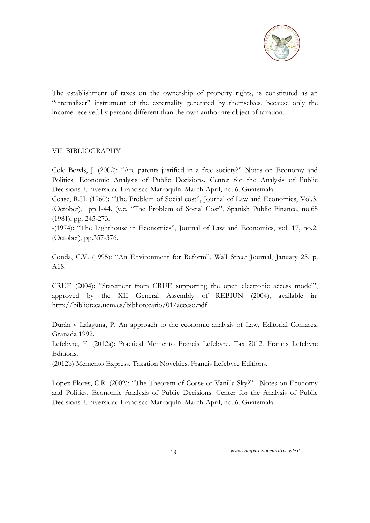

The establishment of taxes on the ownership of property rights, is constituted as an "internaliser" instrument of the externality generated by themselves, because only the income received by persons different than the own author are object of taxation.

#### VII. BIBLIOGRAPHY

Cole Bowls, J. (2002): "Are patents justified in a free society?" Notes on Economy and Politics. Economic Analysis of Public Decisions. Center for the Analysis of Public Decisions. Universidad Francisco Marroquín. March-April, no. 6. Guatemala.

Coase, R.H. (1960): "The Problem of Social cost", Journal of Law and Economics, Vol.3. (October), pp.1-44. (v.c. "The Problem of Social Cost", Spanish Public Finance, no.68 (1981), pp. 245-273.

-(1974): "The Lighthouse in Economics", Journal of Law and Economics, vol. 17, no.2. (October), pp.357-376.

Conda, C.V. (1995): "An Environment for Reform", Wall Street Journal, January 23, p. A18.

CRUE (2004): "Statement from CRUE supporting the open electronic access model", approved by the XII General Assembly of REBIUN (2004), available in: http://biblioteca.ucm.es/bibliotecario/01/acceso.pdf

Durán y Lalaguna, P. An approach to the economic analysis of Law, Editorial Comares, Granada 1992.

Lefebvre, F. (2012a): Practical Memento Francis Lefebvre. Tax 2012. Francis Lefebvre Editions.

(2012b) Memento Express. Taxation Novelties. Francis Lefebvre Editions.

López Flores, C.R. (2002): "The Theorem of Coase or Vanilla Sky?". Notes on Economy and Politics. Economic Analysis of Public Decisions. Center for the Analysis of Public Decisions. Universidad Francisco Marroquín. March-April, no. 6. Guatemala.